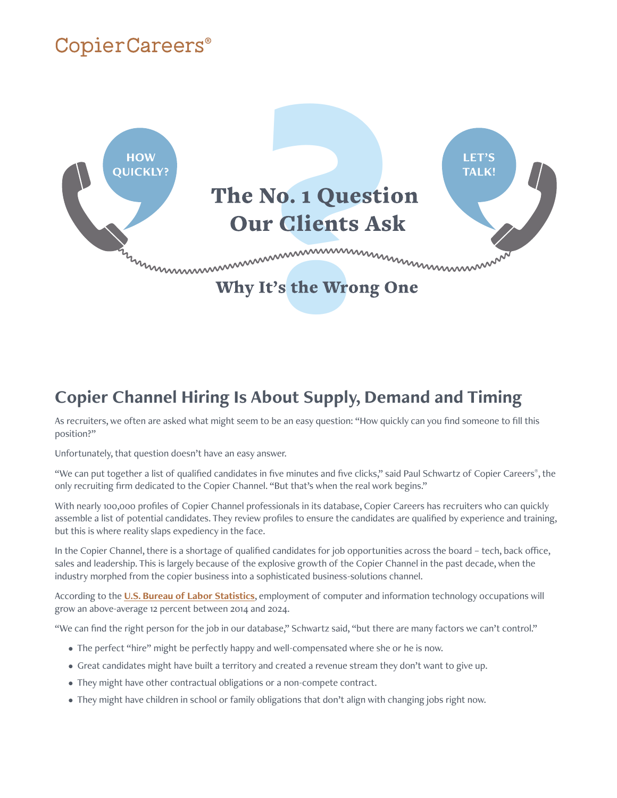# CopierCareers®



### **Copier Channel Hiring Is About Supply, Demand and Timing**

As recruiters, we often are asked what might seem to be an easy question: "How quickly can you find someone to fill this position?"

Unfortunately, that question doesn't have an easy answer.

"We can put together a list of qualified candidates in five minutes and five clicks," said Paul Schwartz of Copier Careers®, the only recruiting firm dedicated to the Copier Channel. "But that's when the real work begins."

With nearly 100,000 profiles of Copier Channel professionals in its database, Copier Careers has recruiters who can quickly assemble a list of potential candidates. They review profiles to ensure the candidates are qualified by experience and training, but this is where reality slaps expediency in the face.

In the Copier Channel, there is a shortage of qualified candidates for job opportunities across the board – tech, back office, sales and leadership. This is largely because of the explosive growth of the Copier Channel in the past decade, when the industry morphed from the copier business into a sophisticated business-solutions channel.

According to the **[U.S. Bureau of Labor Statistics](https://www.bls.gov/ooh/computer-and-information-technology/home.htm)**, employment of computer and information technology occupations will grow an above-average 12 percent between 2014 and 2024.

"We can find the right person for the job in our database," Schwartz said, "but there are many factors we can't control."

- The perfect "hire" might be perfectly happy and well-compensated where she or he is now.
- Great candidates might have built a territory and created a revenue stream they don't want to give up.
- They might have other contractual obligations or a non-compete contract.
- They might have children in school or family obligations that don't align with changing jobs right now.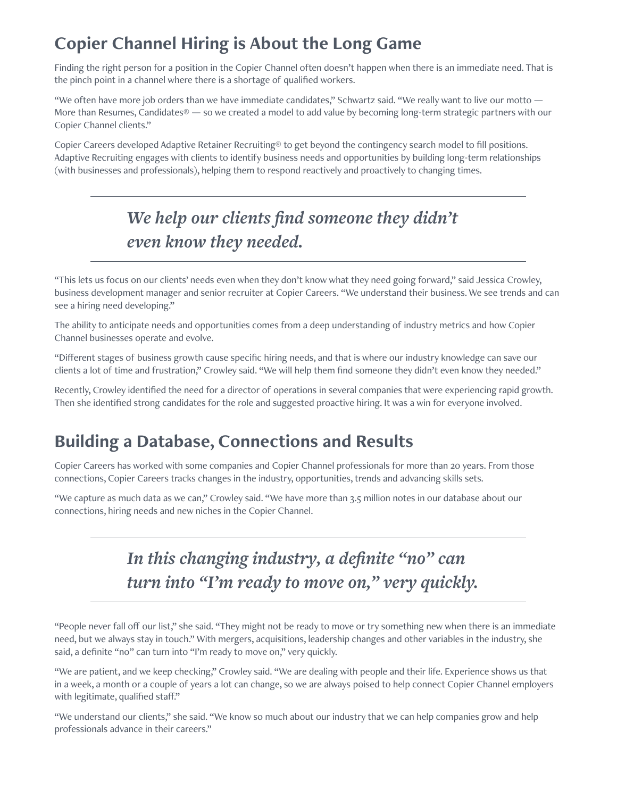### **Copier Channel Hiring is About the Long Game**

Finding the right person for a position in the Copier Channel often doesn't happen when there is an immediate need. That is the pinch point in a channel where there is a shortage of qualified workers.

"We often have more job orders than we have immediate candidates," Schwartz said. "We really want to live our motto -More than Resumes, Candidates® — so we created a model to add value by becoming long-term strategic partners with our Copier Channel clients."

Copier Careers developed Adaptive Retainer Recruiting® to get beyond the contingency search model to fill positions. Adaptive Recruiting engages with clients to identify business needs and opportunities by building long-term relationships (with businesses and professionals), helping them to respond reactively and proactively to changing times.

## *We help our clients find someone they didn't even know they needed.*

"This lets us focus on our clients' needs even when they don't know what they need going forward," said Jessica Crowley, business development manager and senior recruiter at Copier Careers. "We understand their business. We see trends and can see a hiring need developing."

The ability to anticipate needs and opportunities comes from a deep understanding of industry metrics and how Copier Channel businesses operate and evolve.

"Different stages of business growth cause specific hiring needs, and that is where our industry knowledge can save our clients a lot of time and frustration," Crowley said. "We will help them find someone they didn't even know they needed."

Recently, Crowley identified the need for a director of operations in several companies that were experiencing rapid growth. Then she identified strong candidates for the role and suggested proactive hiring. It was a win for everyone involved.

#### **Building a Database, Connections and Results**

Copier Careers has worked with some companies and Copier Channel professionals for more than 20 years. From those connections, Copier Careers tracks changes in the industry, opportunities, trends and advancing skills sets.

"We capture as much data as we can," Crowley said. "We have more than 3.5 million notes in our database about our connections, hiring needs and new niches in the Copier Channel.

## *In this changing industry, a definite "no" can turn into "I'm ready to move on," very quickly.*

"People never fall off our list," she said. "They might not be ready to move or try something new when there is an immediate need, but we always stay in touch." With mergers, acquisitions, leadership changes and other variables in the industry, she said, a definite "no" can turn into "I'm ready to move on," very quickly.

"We are patient, and we keep checking," Crowley said. "We are dealing with people and their life. Experience shows us that in a week, a month or a couple of years a lot can change, so we are always poised to help connect Copier Channel employers with legitimate, qualified staff."

"We understand our clients," she said. "We know so much about our industry that we can help companies grow and help professionals advance in their careers."